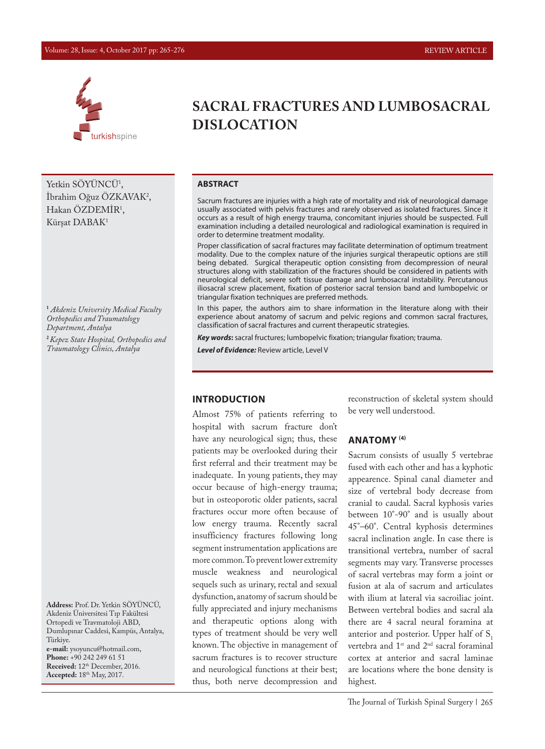#### Volume: 28, Issue: 4, October 2017 pp: 265-276 REVIEW ARTICLE



Yetkin SÖYÜNCÜ<sup>1</sup>, İbrahim Oğuz ÖZKAVAK2 , Hakan ÖZDEMİR1 , Kürşat DABAK1

**1**  *Akdeniz University Medical Faculty Orthopedics and Traumatology Department, Antalya* **<sup>2</sup>***Kepez State Hospital, Orthopedics and Traumatology Clinics, Antalya*

**Address:** Prof. Dr. Yetkin SÖYÜNCÜ, Akdeniz Üniversitesi Tıp Fakültesi Ortopedi ve Travmatoloji ABD, Dumlupınar Caddesi, Kampüs, Antalya, Türkiye.

**e-mail:** ysoyuncu@hotmail.com, **Phone:** +90 242 249 61 51 **Received:** 12th December, 2016. **Accepted:** 18th May, 2017.

# **SACRAL FRACTURES AND LUMBOSACRAL DISLOCATION**

#### **ABSTRACT**

Sacrum fractures are injuries with a high rate of mortality and risk of neurological damage usually associated with pelvis fractures and rarely observed as isolated fractures. Since it occurs as a result of high energy trauma, concomitant injuries should be suspected. Full examination including a detailed neurological and radiological examination is required in order to determine treatment modality.

Proper classification of sacral fractures may facilitate determination of optimum treatment modality. Due to the complex nature of the injuries surgical therapeutic options are still being debated. Surgical therapeutic option consisting from decompression of neural structures along with stabilization of the fractures should be considered in patients with neurological deficit, severe soft tissue damage and lumbosacral instability. Percutanous iliosacral screw placement, fixation of posterior sacral tension band and lumbopelvic or triangular fixation techniques are preferred methods.

In this paper, the authors aim to share information in the literature along with their experience about anatomy of sacrum and pelvic regions and common sacral fractures, classification of sacral fractures and current therapeutic strategies.

*Key words***:** sacral fructures; lumbopelvic fixation; triangular fixation; trauma.

*Level of Evidence:* Review article, Level V

#### **INTRODUCTION**

Almost 75% of patients referring to hospital with sacrum fracture don't have any neurological sign; thus, these patients may be overlooked during their first referral and their treatment may be inadequate. In young patients, they may occur because of high-energy trauma; but in osteoporotic older patients, sacral fractures occur more often because of low energy trauma. Recently sacral insufficiency fractures following long segment instrumentation applications are more common. To prevent lower extremity muscle weakness and neurological sequels such as urinary, rectal and sexual dysfunction, anatomy of sacrum should be fully appreciated and injury mechanisms and therapeutic options along with types of treatment should be very well known. The objective in management of sacrum fractures is to recover structure and neurological functions at their best; thus, both nerve decompression and

reconstruction of skeletal system should be very well understood.

#### **ANATOMY (4)**

Sacrum consists of usually 5 vertebrae fused with each other and has a kyphotic appearence. Spinal canal diameter and size of vertebral body decrease from cranial to caudal. Sacral kyphosis varies between 10°-90° and is usually about 45°–60°. Central kyphosis determines sacral inclination angle. In case there is transitional vertebra, number of sacral segments may vary. Transverse processes of sacral vertebras may form a joint or fusion at ala of sacrum and articulates with ilium at lateral via sacroiliac joint. Between vertebral bodies and sacral ala there are 4 sacral neural foramina at anterior and posterior. Upper half of  $S<sub>1</sub>$ vertebra and 1<sup>st</sup> and 2<sup>nd</sup> sacral foraminal cortex at anterior and sacral laminae are locations where the bone density is highest.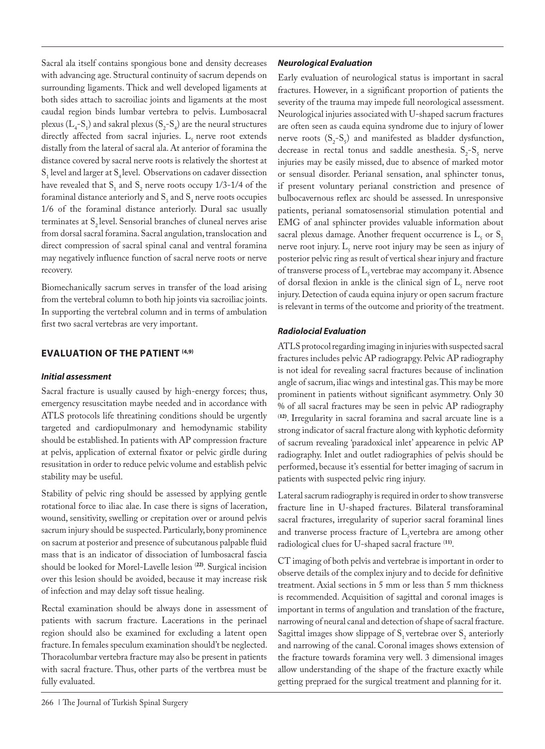Sacral ala itself contains spongious bone and density decreases with advancing age. Structural continuity of sacrum depends on surrounding ligaments. Thick and well developed ligaments at both sides attach to sacroiliac joints and ligaments at the most caudal region binds lumbar vertebra to pelvis. Lumbosacral plexus ( $L_4$ -S<sub>1</sub>) and sakral plexus (S<sub>2</sub>-S<sub>4</sub>) are the neural structures directly affected from sacral injuries.  $L<sub>s</sub>$  nerve root extends distally from the lateral of sacral ala. At anterior of foramina the distance covered by sacral nerve roots is relatively the shortest at  $S_1$  level and larger at  $S_4$  level. Observations on cadaver dissection have revealed that  $S_1$  and  $S_2$  nerve roots occupy 1/3-1/4 of the foraminal distance anteriorly and  $S_3$  and  $S_4$  nerve roots occupies 1/6 of the foraminal distance anteriorly. Dural sac usually terminates at  $S<sub>2</sub>$  level. Sensorial branches of cluneal nerves arise from dorsal sacral foramina. Sacral angulation, translocation and direct compression of sacral spinal canal and ventral foramina may negatively influence function of sacral nerve roots or nerve recovery.

Biomechanically sacrum serves in transfer of the load arising from the vertebral column to both hip joints via sacroiliac joints. In supporting the vertebral column and in terms of ambulation first two sacral vertebras are very important.

## **EVALUATION OF THE PATIENT (4,9)**

#### *Initial assessment*

Sacral fracture is usually caused by high-energy forces; thus, emergency resuscitation maybe needed and in accordance with ATLS protocols life threatining conditions should be urgently targeted and cardiopulmonary and hemodynamic stability should be established. In patients with AP compression fracture at pelvis, application of external fixator or pelvic girdle during resusitation in order to reduce pelvic volume and establish pelvic stability may be useful.

Stability of pelvic ring should be assessed by applying gentle rotational force to iliac alae. In case there is signs of laceration, wound, sensitivity, swelling or crepitation over or around pelvis sacrum injury should be suspected. Particularly, bony prominence on sacrum at posterior and presence of subcutanous palpable fluid mass that is an indicator of dissociation of lumbosacral fascia should be looked for Morel-Lavelle lesion (**22)**. Surgical incision over this lesion should be avoided, because it may increase risk of infection and may delay soft tissue healing.

Rectal examination should be always done in assessment of patients with sacrum fracture. Lacerations in the perinael region should also be examined for excluding a latent open fracture. In females speculum examination should't be neglected. Thoracolumbar vertebra fracture may also be present in patients with sacral fracture. Thus, other parts of the vertbrea must be fully evaluated.

#### *Neurological Evaluation*

Early evaluation of neurological status is important in sacral fractures. However, in a significant proportion of patients the severity of the trauma may impede full neorological assessment. Neurological injuries associated with U-shaped sacrum fractures are often seen as cauda equina syndrome due to injury of lower nerve roots  $(S_2-S_5)$  and manifested as bladder dysfunction, decrease in rectal tonus and saddle anesthesia.  $S_2-S_5$  nerve injuries may be easily missed, due to absence of marked motor or sensual disorder. Perianal sensation, anal sphincter tonus, if present voluntary perianal constriction and presence of bulbocavernous reflex arc should be assessed. In unresponsive patients, perianal somatosensorial stimulation potential and EMG of anal sphincter provides valuable information about sacral plexus damage. Another frequent occurrence is  $L_5$  or  $S_1$ nerve root injury.  $L_5$  nerve root injury may be seen as injury of posterior pelvic ring as result of vertical shear injury and fracture of transverse process of  $L_5$  vertebrae may accompany it. Absence of dorsal flexion in ankle is the clinical sign of  $L_5$  nerve root injury. Detection of cauda equina injury or open sacrum fracture is relevant in terms of the outcome and priority of the treatment.

## *Radiolocial Evaluation*

ATLS protocol regarding imaging in injuries with suspected sacral fractures includes pelvic AP radiograpgy. Pelvic AP radiography is not ideal for revealing sacral fractures because of inclination angle of sacrum, iliac wings and intestinal gas. This may be more prominent in patients without significant asymmetry. Only 30 % of all sacral fractures may be seen in pelvic AP radiography (**12)**. Irregularity in sacral foramina and sacral arcuate line is a strong indicator of sacral fracture along with kyphotic deformity of sacrum revealing 'paradoxical inlet' appearence in pelvic AP radiography. Inlet and outlet radiographies of pelvis should be performed, because it's essential for better imaging of sacrum in patients with suspected pelvic ring injury.

Lateral sacrum radiography is required in order to show transverse fracture line in U-shaped fractures. Bilateral transforaminal sacral fractures, irregularity of superior sacral foraminal lines and tranverse process fracture of  $L<sub>5</sub>$ vertebra are among other radiological clues for U-shaped sacral fracture (**11)**.

CT imaging of both pelvis and vertebrae is important in order to observe details of the complex injury and to decide for definitive treatment. Axial sections in 5 mm or less than 5 mm thickness is recommended. Acquisition of sagittal and coronal images is important in terms of angulation and translation of the fracture, narrowing of neural canal and detection of shape of sacral fracture. Sagittal images show slippage of  $S_1$  vertebrae over  $S_2$  anteriorly and narrowing of the canal. Coronal images shows extension of the fracture towards foramina very well. 3 dimensional images allow understanding of the shape of the fracture exactly while getting prepraed for the surgical treatment and planning for it.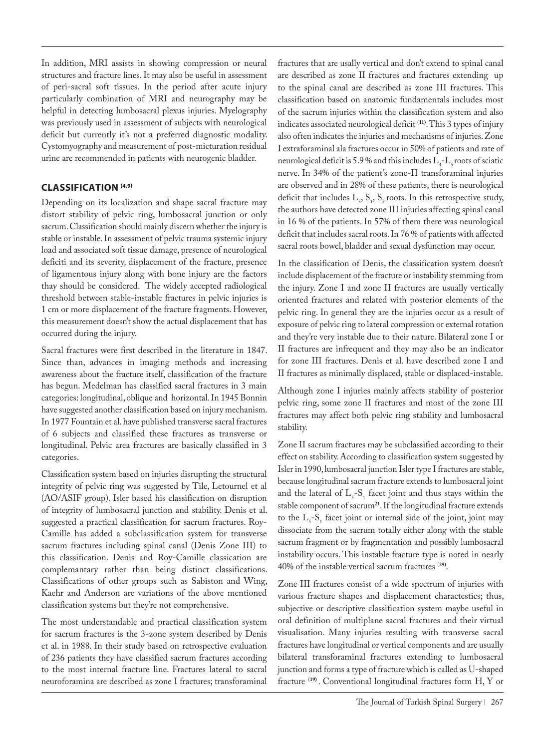In addition, MRI assists in showing compression or neural structures and fracture lines. It may also be useful in assessment of peri-sacral soft tissues. In the period after acute injury particularly combination of MRI and neurography may be helpful in detecting lumbosacral plexus injuries. Myelography was previously used in assessment of subjects with neurological deficit but currently it's not a preferred diagnostic modality. Cystomyography and measurement of post-micturation residual urine are recommended in patients with neurogenic bladder.

# **CLASSIFICATION (4,9)**

Depending on its localization and shape sacral fracture may distort stability of pelvic ring, lumbosacral junction or only sacrum. Classification should mainly discern whether the injury is stable or instable. In assessment of pelvic trauma systemic injury load and associated soft tissue damage, presence of neurological deficiti and its severity, displacement of the fracture, presence of ligamentous injury along with bone injury are the factors thay should be considered. The widely accepted radiological threshold between stable-instable fractures in pelvic injuries is 1 cm or more displacement of the fracture fragments. However, this measurement doesn't show the actual displacement that has occurred during the injury.

Sacral fractures were first described in the literature in 1847. Since than, advances in imaging methods and increasing awareness about the fracture itself, classification of the fracture has begun. Medelman has classified sacral fractures in 3 main categories: longitudinal, oblique and horizontal. In 1945 Bonnin have suggested another classification based on injury mechanism. In 1977 Fountain et al. have published transverse sacral fractures of 6 subjects and classified these fractures as transverse or longitudinal. Pelvic area fractures are basically classified in 3 categories.

Classification system based on injuries disrupting the structural integrity of pelvic ring was suggested by Tile, Letournel et al (AO/ASIF group). Isler based his classification on disruption of integrity of lumbosacral junction and stability. Denis et al. suggested a practical classification for sacrum fractures. Roy-Camille has added a subclassification system for transverse sacrum fractures including spinal canal (Denis Zone III) to this classification. Denis and Roy-Camille classication are complemantary rather than being distinct classifications. Classifications of other groups such as Sabiston and Wing, Kaehr and Anderson are variations of the above mentioned classification systems but they're not comprehensive.

The most understandable and practical classification system for sacrum fractures is the 3-zone system described by Denis et al. in 1988. In their study based on retrospective evaluation of 236 patients they have classified sacrum fractures according to the most internal fracture line. Fractures lateral to sacral neuroforamina are described as zone I fractures; transforaminal

fractures that are usally vertical and don't extend to spinal canal are described as zone II fractures and fractures extending up to the spinal canal are described as zone III fractures. This classification based on anatomic fundamentals includes most of the sacrum injuries within the classification system and also indicates associated neurological deficit (**11)**. This 3 types of injury also often indicates the injuries and mechanisms of injuries. Zone I extraforaminal ala fractures occur in 50% of patients and rate of neurological deficit is 5.9 % and this includes  $L_4$ - $L_5$  roots of sciatic nerve. In 34% of the patient's zone-II transforaminal injuries are observed and in 28% of these patients, there is neurological deficit that includes  $L_5$ ,  $S_1$ ,  $S_2$  roots. In this retrospective study, the authors have detected zone III injuries affecting spinal canal in 16 % of the patients. In 57% of them there was neurological deficit that includes sacral roots. In 76 % of patients with affected sacral roots bowel, bladder and sexual dysfunction may occur.

In the classification of Denis, the classification system doesn't include displacement of the fracture or instability stemming from the injury. Zone I and zone II fractures are usually vertically oriented fractures and related with posterior elements of the pelvic ring. In general they are the injuries occur as a result of exposure of pelvic ring to lateral compression or external rotation and they're very instable due to their nature. Bilateral zone I or II fractures are infrequent and they may also be an indicator for zone III fractures. Denis et al. have described zone I and II fractures as minimally displaced, stable or displaced-instable.

Although zone I injuries mainly affects stability of posterior pelvic ring, some zone II fractures and most of the zone III fractures may affect both pelvic ring stability and lumbosacral stability.

Zone II sacrum fractures may be subclassified according to their effect on stability. According to classification system suggested by Isler in 1990, lumbosacral junction Isler type I fractures are stable, because longitudinal sacrum fracture extends to lumbosacral joint and the lateral of  $L_5$ -S<sub>1</sub> facet joint and thus stays within the stable component of sacrum**<sup>21</sup>**. If the longitudinal fracture extends to the  $L_5$ -S<sub>1</sub> facet joint or internal side of the joint, joint may dissociate from the sacrum totally either along with the stable sacrum fragment or by fragmentation and possibly lumbosacral instability occurs. This instable fracture type is noted in nearly 40% of the instable vertical sacrum fractures (**29)**.

Zone III fractures consist of a wide spectrum of injuries with various fracture shapes and displacement charactestics; thus, subjective or descriptive classification system maybe useful in oral definition of multiplane sacral fractures and their virtual visualisation. Many injuries resulting with transverse sacral fractures have longitudinal or vertical components and are usually bilateral transforaminal fractures extending to lumbosacral junction and forms a type of fracture which is called as U-shaped fracture (**19)** . Conventional longitudinal fractures form H, Y or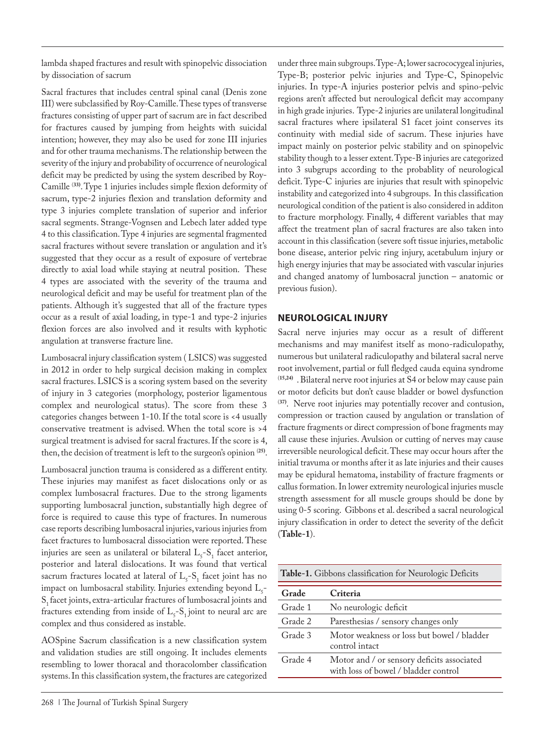lambda shaped fractures and result with spinopelvic dissociation by dissociation of sacrum

Sacral fractures that includes central spinal canal (Denis zone III) were subclassified by Roy-Camille. These types of transverse fractures consisting of upper part of sacrum are in fact described for fractures caused by jumping from heights with suicidal intention; however, they may also be used for zone III injuries and for other trauma mechanisms. The relationship between the severity of the injury and probability of occurrence of neurological deficit may be predicted by using the system described by Roy-Camille (**33)**. Type 1 injuries includes simple flexion deformity of sacrum, type-2 injuries flexion and translation deformity and type 3 injuries complete translation of superior and inferior sacral segments. Strange-Vognsen and Lebech later added type 4 to this classification. Type 4 injuries are segmental fragmented sacral fractures without severe translation or angulation and it's suggested that they occur as a result of exposure of vertebrae directly to axial load while staying at neutral position. These 4 types are associated with the severity of the trauma and neurological deficit and may be useful for treatment plan of the patients. Although it's suggested that all of the fracture types occur as a result of axial loading, in type-1 and type-2 injuries flexion forces are also involved and it results with kyphotic angulation at transverse fracture line.

Lumbosacral injury classification system ( LSICS) was suggested in 2012 in order to help surgical decision making in complex sacral fractures. LSICS is a scoring system based on the severity of injury in 3 categories (morphology, posterior ligamentous complex and neurological status). The score from these 3 categories changes between 1-10. If the total score is <4 usually conservative treatment is advised. When the total score is >4 surgical treatment is advised for sacral fractures. If the score is 4, then, the decision of treatment is left to the surgeon's opinion (**25)**.

Lumbosacral junction trauma is considered as a different entity. These injuries may manifest as facet dislocations only or as complex lumbosacral fractures. Due to the strong ligaments supporting lumbosacral junction, substantially high degree of force is required to cause this type of fractures. In numerous case reports describing lumbosacral injuries, various injuries from facet fractures to lumbosacral dissociation were reported. These injuries are seen as unilateral or bilateral  $L_5$ - $S_1$  facet anterior, posterior and lateral dislocations. It was found that vertical sacrum fractures located at lateral of  $L_5$ -S<sub>1</sub> facet joint has no impact on lumbosacral stability. Injuries extending beyond  $L_{5}$ S<sub>1</sub> facet joints, extra-articular fractures of lumbosacral joints and fractures extending from inside of  $L_5$ -S<sub>1</sub> joint to neural arc are complex and thus considered as instable.

AOSpine Sacrum classification is a new classification system and validation studies are still ongoing. It includes elements resembling to lower thoracal and thoracolomber classification systems. In this classification system, the fractures are categorized

under three main subgroups. Type-A; lower sacrococygeal injuries, Type-B; posterior pelvic injuries and Type-C, Spinopelvic injuries. In type-A injuries posterior pelvis and spino-pelvic regions aren't affected but neroulogical deficit may accompany in high grade injuries. Type-2 injuries are unilateral longitudinal sacral fractures where ipsilateral S1 facet joint conserves its continuity with medial side of sacrum. These injuries have impact mainly on posterior pelvic stability and on spinopelvic stability though to a lesser extent. Type-B injuries are categorized into 3 subgrups according to the probablity of neurological deficit. Type-C injuries are injuries that result with spinopelvic instability and categorized into 4 subgroups. In this classification neurological condition of the patient is also considered in additon to fracture morphology. Finally, 4 different variables that may affect the treatment plan of sacral fractures are also taken into account in this classification (severe soft tissue injuries, metabolic bone disease, anterior pelvic ring injury, acetabulum injury or high energy injuries that may be associated with vascular injuries and changed anatomy of lumbosacral junction – anatomic or previous fusion).

## **NEUROLOGICAL INJURY**

Sacral nerve injuries may occur as a result of different mechanisms and may manifest itself as mono-radiculopathy, numerous but unilateral radiculopathy and bilateral sacral nerve root involvement, partial or full fledged cauda equina syndrome (**15,24)** . Bilateral nerve root injuries at S4 or below may cause pain or motor deficits but don't cause bladder or bowel dysfunction (**37)**. Nerve root injuries may potentially recover and contusion, compression or traction caused by angulation or translation of fracture fragments or direct compression of bone fragments may all cause these injuries. Avulsion or cutting of nerves may cause irreversible neurological deficit. These may occur hours after the initial travuma or months after it as late injuries and their causes may be epidural hematoma, instability of fracture fragments or callus formation. In lower extremity neurological injuries muscle strength assessment for all muscle groups should be done by using 0-5 scoring. Gibbons et al. described a sacral neurological injury classification in order to detect the severity of the deficit (**Table-1**).

**Table-1.** Gibbons classification for Neurologic Deficits

| Criteria                                                                           |
|------------------------------------------------------------------------------------|
| No neurologic deficit                                                              |
| Paresthesias / sensory changes only                                                |
| Motor weakness or loss but bowel / bladder<br>control intact                       |
| Motor and / or sensory deficits associated<br>with loss of bowel / bladder control |
|                                                                                    |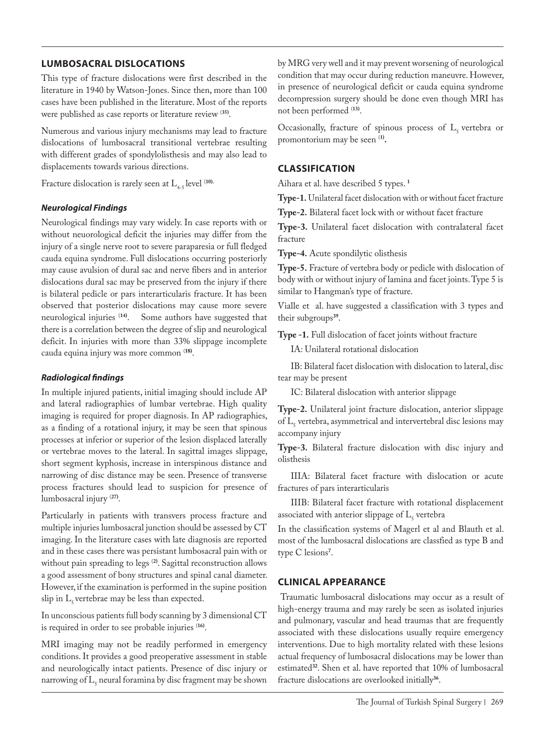## **LUMBOSACRAL DISLOCATIONS**

This type of fracture dislocations were first described in the literature in 1940 by Watson-Jones. Since then, more than 100 cases have been published in the literature. Most of the reports were published as case reports or literature review (**35)**.

Numerous and various injury mechanisms may lead to fracture dislocations of lumbosacral transitional vertebrae resulting with different grades of spondylolisthesis and may also lead to displacements towards various directions.

Fracture dislocation is rarely seen at  $L_{4.5}$  level <sup>(10)</sup>.

#### *Neurological Findings*

Neurological findings may vary widely. In case reports with or without neuorological deficit the injuries may differ from the injury of a single nerve root to severe paraparesia or full fledged cauda equina syndrome. Full dislocations occurring posteriorly may cause avulsion of dural sac and nerve fibers and in anterior dislocations dural sac may be preserved from the injury if there is bilateral pedicle or pars interarticularis fracture. It has been observed that posterior dislocations may cause more severe neurological injuries (**14)**. Some authors have suggested that there is a correlation between the degree of slip and neurological deficit. In injuries with more than 33% slippage incomplete cauda equina injury was more common (**18)**.

#### *Radiological findings*

In multiple injured patients, initial imaging should include AP and lateral radiographies of lumbar vertebrae. High quality imaging is required for proper diagnosis. In AP radiographies, as a finding of a rotational injury, it may be seen that spinous processes at inferior or superior of the lesion displaced laterally or vertebrae moves to the lateral. In sagittal images slippage, short segment kyphosis, increase in interspinous distance and narrowing of disc distance may be seen. Presence of transverse process fractures should lead to suspicion for presence of lumbosacral injury (**27)**.

Particularly in patients with transvers process fracture and multiple injuries lumbosacral junction should be assessed by CT imaging. In the literature cases with late diagnosis are reported and in these cases there was persistant lumbosacral pain with or without pain spreading to legs (**2)**. Sagittal reconstruction allows a good assessment of bony structures and spinal canal diameter. However, if the examination is performed in the supine position slip in  $L<sub>s</sub>$  vertebrae may be less than expected.

In unconscious patients full body scanning by 3 dimensional CT is required in order to see probable injuries (**16)**.

MRI imaging may not be readily performed in emergency conditions. It provides a good preoperative assessment in stable and neurologically intact patients. Presence of disc injury or narrowing of  $L_5$  neural foramina by disc fragment may be shown by MRG very well and it may prevent worsening of neurological condition that may occur during reduction maneuvre. However, in presence of neurological deficit or cauda equina syndrome decompression surgery should be done even though MRI has not been performed (**13)**.

Occasionally, fracture of spinous process of  $L<sub>5</sub>$  vertebra or promontorium may be seen (**1).**

## **CLASSIFICATION**

Aihara et al. have described 5 types. **<sup>1</sup>**

**Type-1.** Unilateral facet dislocation with or without facet fracture

**Type-2.** Bilateral facet lock with or without facet fracture

**Type-3.** Unilateral facet dislocation with contralateral facet fracture

**Type-4.** Acute spondilytic olisthesis

**Type-5.** Fracture of vertebra body or pedicle with dislocation of body with or without injury of lamina and facet joints. Type 5 is similar to Hangman's type of fracture.

Vialle et al. have suggested a classification with 3 types and their subgroups**<sup>39</sup>**.

**Type -1.** Full dislocation of facet joints without fracture

IA: Unilateral rotational dislocation

IB: Bilateral facet dislocation with dislocation to lateral, disc tear may be present

IC: Bilateral dislocation with anterior slippage

**Type-2.** Unilateral joint fracture dislocation, anterior slippage of  $L_5$  vertebra, asymmetrical and intervertebral disc lesions may accompany injury

**Type-3.** Bilateral fracture dislocation with disc injury and olisthesis

IIIA: Bilateral facet fracture with dislocation or acute fractures of pars interarticularis

IIIB: Bilateral facet fracture with rotational displacement associated with anterior slippage of  $L_5$  vertebra

In the classification systems of Magerl et al and Blauth et al. most of the lumbosacral dislocations are classfied as type B and type C lesions**<sup>7</sup>** .

#### **CLINICAL APPEARANCE**

Traumatic lumbosacral dislocations may occur as a result of high-energy trauma and may rarely be seen as isolated injuries and pulmonary, vascular and head traumas that are frequently associated with these dislocations usually require emergency interventions. Due to high mortality related with these lesions actual frequency of lumbosacral dislocations may be lower than estimated**<sup>32</sup>**. Shen et al. have reported that 10% of lumbosacral fracture dislocations are overlooked initially**36**.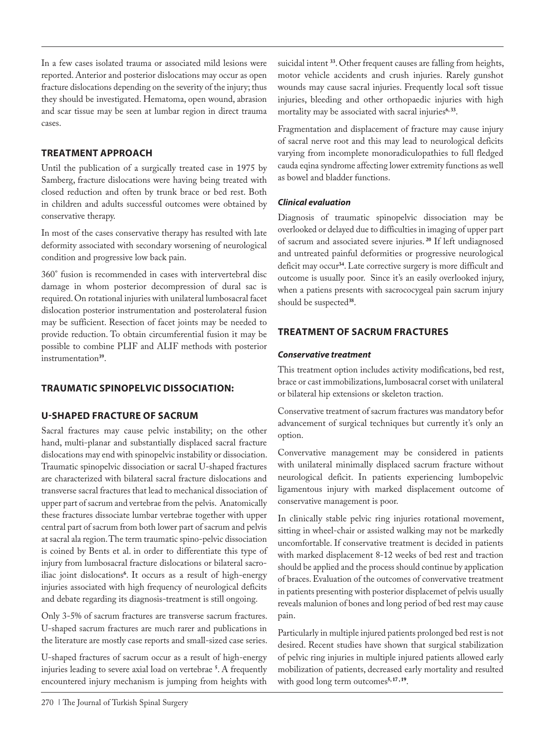In a few cases isolated trauma or associated mild lesions were reported. Anterior and posterior dislocations may occur as open fracture dislocations depending on the severity of the injury; thus they should be investigated. Hematoma, open wound, abrasion and scar tissue may be seen at lumbar region in direct trauma cases.

## **TREATMENT APPROACH**

Until the publication of a surgically treated case in 1975 by Samberg, fracture dislocations were having being treated with closed reduction and often by trunk brace or bed rest. Both in children and adults successful outcomes were obtained by conservative therapy.

In most of the cases conservative therapy has resulted with late deformity associated with secondary worsening of neurological condition and progressive low back pain.

360° fusion is recommended in cases with intervertebral disc damage in whom posterior decompression of dural sac is required. On rotational injuries with unilateral lumbosacral facet dislocation posterior instrumentation and posterolateral fusion may be sufficient. Resection of facet joints may be needed to provide reduction. To obtain circumferential fusion it may be possible to combine PLIF and ALIF methods with posterior instrumentation**<sup>39</sup>**.

## **TRAUMATIC SPINOPELVIC DISSOCIATION:**

## **U-SHAPED FRACTURE OF SACRUM**

Sacral fractures may cause pelvic instability; on the other hand, multi-planar and substantially displaced sacral fracture dislocations may end with spinopelvic instability or dissociation. Traumatic spinopelvic dissociation or sacral U-shaped fractures are characterized with bilateral sacral fracture dislocations and transverse sacral fractures that lead to mechanical dissociation of upper part of sacrum and vertebrae from the pelvis. Anatomically these fractures dissociate lumbar vertebrae together with upper central part of sacrum from both lower part of sacrum and pelvis at sacral ala region. The term traumatic spino-pelvic dissociation is coined by Bents et al. in order to differentiate this type of injury from lumbosacral fracture dislocations or bilateral sacroiliac joint dislocations**<sup>6</sup>** . It occurs as a result of high-energy injuries associated with high frequency of neurological deficits and debate regarding its diagnosis-treatment is still ongoing.

Only 3-5% of sacrum fractures are transverse sacrum fractures. U-shaped sacrum fractures are much rarer and publications in the literature are mostly case reports and small-sized case series.

U-shaped fractures of sacrum occur as a result of high-energy injuries leading to severe axial load on vertebrae **<sup>5</sup>** . A frequently encountered injury mechanism is jumping from heights with

suicidal intent **<sup>33</sup>**. Other frequent causes are falling from heights, motor vehicle accidents and crush injuries. Rarely gunshot wounds may cause sacral injuries. Frequently local soft tissue injuries, bleeding and other orthopaedic injuries with high mortality may be associated with sacral injuries**6, 33**.

Fragmentation and displacement of fracture may cause injury of sacral nerve root and this may lead to neurological deficits varying from incomplete monoradiculopathies to full fledged cauda eqina syndrome affecting lower extremity functions as well as bowel and bladder functions.

## *Clinical evaluation*

Diagnosis of traumatic spinopelvic dissociation may be overlooked or delayed due to difficulties in imaging of upper part of sacrum and associated severe injuries.**<sup>20</sup>** If left undiagnosed and untreated painful deformities or progressive neurological deficit may occur**<sup>34</sup>**. Late corrective surgery is more difficult and outcome is usually poor. Since it's an easily overlooked injury, when a patiens presents with sacrococygeal pain sacrum injury should be suspected**<sup>38</sup>**.

# **TREATMENT OF SACRUM FRACTURES**

## *Conservative treatment*

This treatment option includes activity modifications, bed rest, brace or cast immobilizations, lumbosacral corset with unilateral or bilateral hip extensions or skeleton traction.

Conservative treatment of sacrum fractures was mandatory befor advancement of surgical techniques but currently it's only an option.

Convervative management may be considered in patients with unilateral minimally displaced sacrum fracture without neurological deficit. In patients experiencing lumbopelvic ligamentous injury with marked displacement outcome of conservative management is poor.

In clinically stable pelvic ring injuries rotational movement, sitting in wheel-chair or assisted walking may not be markedly uncomfortable. If conservative treatment is decided in patients with marked displacement 8-12 weeks of bed rest and traction should be applied and the process should continue by application of braces. Evaluation of the outcomes of convervative treatment in patients presenting with posterior displacemet of pelvis usually reveals malunion of bones and long period of bed rest may cause pain.

Particularly in multiple injured patients prolonged bed rest is not desired. Recent studies have shown that surgical stabilization of pelvic ring injuries in multiple injured patients allowed early mobilization of patients, decreased early mortality and resulted with good long term outcomes<sup>5, 17, 19</sup>.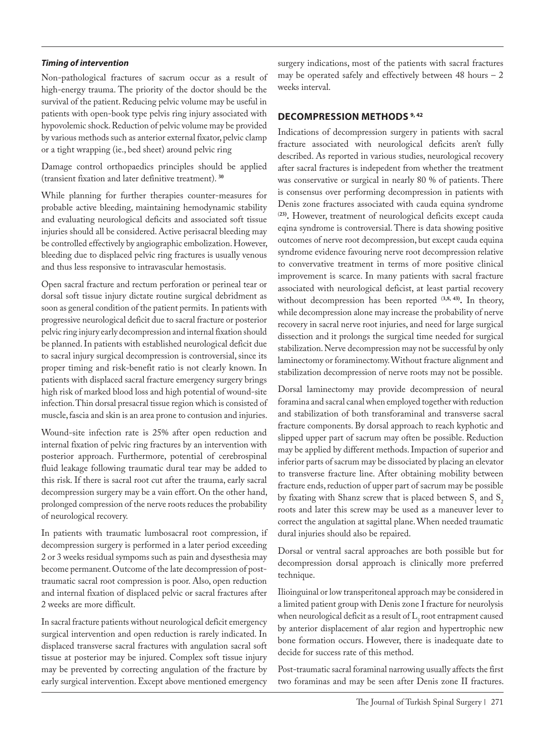#### *Timing of intervention*

Non-pathological fractures of sacrum occur as a result of high-energy trauma. The priority of the doctor should be the survival of the patient. Reducing pelvic volume may be useful in patients with open-book type pelvis ring injury associated with hypovolemic shock. Reduction of pelvic volume may be provided by various methods such as anterior external fixator, pelvic clamp or a tight wrapping (ie., bed sheet) around pelvic ring

Damage control orthopaedics principles should be applied (transient fixation and later definitive treatment). **<sup>30</sup>**

While planning for further therapies counter-measures for probable active bleeding, maintaining hemodynamic stability and evaluating neurological deficits and associated soft tissue injuries should all be considered. Active perisacral bleeding may be controlled effectively by angiographic embolization. However, bleeding due to displaced pelvic ring fractures is usually venous and thus less responsive to intravascular hemostasis.

Open sacral fracture and rectum perforation or perineal tear or dorsal soft tissue injury dictate routine surgical debridment as soon as general condition of the patient permits. In patients with progressive neurological deficit due to sacral fracture or posterior pelvic ring injury early decompression and internal fixation should be planned. In patients with established neurological deficit due to sacral injury surgical decompression is controversial, since its proper timing and risk-benefit ratio is not clearly known. In patients with displaced sacral fracture emergency surgery brings high risk of marked blood loss and high potential of wound-site infection. Thin dorsal presacral tissue region which is consisted of muscle, fascia and skin is an area prone to contusion and injuries.

Wound-site infection rate is 25% after open reduction and internal fixation of pelvic ring fractures by an intervention with posterior approach. Furthermore, potential of cerebrospinal fluid leakage following traumatic dural tear may be added to this risk. If there is sacral root cut after the trauma, early sacral decompression surgery may be a vain effort. On the other hand, prolonged compression of the nerve roots reduces the probability of neurological recovery.

In patients with traumatic lumbosacral root compression, if decompression surgery is performed in a later period exceeding 2 or 3 weeks residual sympoms such as pain and dysesthesia may become permanent. Outcome of the late decompression of posttraumatic sacral root compression is poor. Also, open reduction and internal fixation of displaced pelvic or sacral fractures after 2 weeks are more difficult.

In sacral fracture patients without neurological deficit emergency surgical intervention and open reduction is rarely indicated. In displaced transverse sacral fractures with angulation sacral soft tissue at posterior may be injured. Complex soft tissue injury may be prevented by correcting angulation of the fracture by early surgical intervention. Except above mentioned emergency surgery indications, most of the patients with sacral fractures may be operated safely and effectively between 48 hours – 2 weeks interval.

## **DECOMPRESSION METHODS 9, 42**

Indications of decompression surgery in patients with sacral fracture associated with neurological deficits aren't fully described. As reported in various studies, neurological recovery after sacral fractures is indepedent from whether the treatment was conservative or surgical in nearly 80 % of patients. There is consensus over performing decompression in patients with Denis zone fractures associated with cauda equina syndrome (**23).** However, treatment of neurological deficits except cauda eqina syndrome is controversial. There is data showing positive outcomes of nerve root decompression, but except cauda equina syndrome evidence favouring nerve root decompression relative to convervative treatment in terms of more positive clinical improvement is scarce. In many patients with sacral fracture associated with neurological deficist, at least partial recovery without decompression has been reported (3,8, 43). In theory, while decompression alone may increase the probability of nerve recovery in sacral nerve root injuries, and need for large surgical dissection and it prolongs the surgical time needed for surgical stabilization. Nerve decompression may not be successful by only laminectomy or foraminectomy. Without fracture alignment and stabilization decompression of nerve roots may not be possible.

Dorsal laminectomy may provide decompression of neural foramina and sacral canal when employed together with reduction and stabilization of both transforaminal and transverse sacral fracture components. By dorsal approach to reach kyphotic and slipped upper part of sacrum may often be possible. Reduction may be applied by different methods. Impaction of superior and inferior parts of sacrum may be dissociated by placing an elevator to transverse fracture line. After obtaining mobility between fracture ends, reduction of upper part of sacrum may be possible by fixating with Shanz screw that is placed between  $S_1$  and  $S_2$ roots and later this screw may be used as a maneuver lever to correct the angulation at sagittal plane. When needed traumatic dural injuries should also be repaired.

Dorsal or ventral sacral approaches are both possible but for decompression dorsal approach is clinically more preferred technique.

Ilioinguinal or low transperitoneal approach may be considered in a limited patient group with Denis zone I fracture for neurolysis when neurological deficit as a result of  $L<sub>5</sub>$  root entrapment caused by anterior displacement of alar region and hypertrophic new bone formation occurs. However, there is inadequate date to decide for success rate of this method.

Post-traumatic sacral foraminal narrowing usually affects the first two foraminas and may be seen after Denis zone II fractures.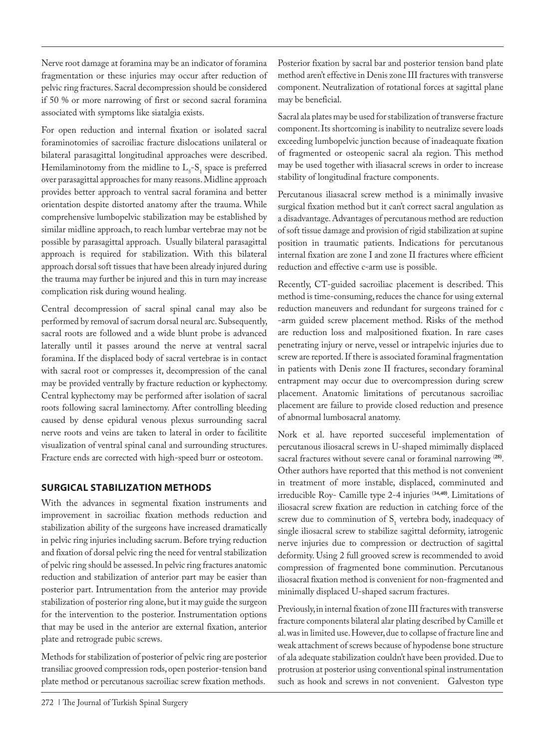Nerve root damage at foramina may be an indicator of foramina fragmentation or these injuries may occur after reduction of pelvic ring fractures. Sacral decompression should be considered if 50 % or more narrowing of first or second sacral foramina associated with symptoms like siatalgia exists.

For open reduction and internal fixation or isolated sacral foraminotomies of sacroiliac fracture dislocations unilateral or bilateral parasagittal longitudinal approaches were described. Hemilaminotomy from the midline to  $L_5$ - $S_1$  space is preferred over parasagittal approaches for many reasons. Midline approach provides better approach to ventral sacral foramina and better orientation despite distorted anatomy after the trauma. While comprehensive lumbopelvic stabilization may be established by similar midline approach, to reach lumbar vertebrae may not be possible by parasagittal approach. Usually bilateral parasagittal approach is required for stabilization. With this bilateral approach dorsal soft tissues that have been already injured during the trauma may further be injured and this in turn may increase complication risk during wound healing.

Central decompression of sacral spinal canal may also be performed by removal of sacrum dorsal neural arc. Subsequently, sacral roots are followed and a wide blunt probe is advanced laterally until it passes around the nerve at ventral sacral foramina. If the displaced body of sacral vertebrae is in contact with sacral root or compresses it, decompression of the canal may be provided ventrally by fracture reduction or kyphectomy. Central kyphectomy may be performed after isolation of sacral roots following sacral laminectomy. After controlling bleeding caused by dense epidural venous plexus surrounding sacral nerve roots and veins are taken to lateral in order to facilitite visualization of ventral spinal canal and surrounding structures. Fracture ends are corrected with high-speed burr or osteotom.

## **SURGICAL STABILIZATION METHODS**

With the advances in segmental fixation instruments and improvement in sacroiliac fixation methods reduction and stabilization ability of the surgeons have increased dramatically in pelvic ring injuries including sacrum. Before trying reduction and fixation of dorsal pelvic ring the need for ventral stabilization of pelvic ring should be assessed. In pelvic ring fractures anatomic reduction and stabilization of anterior part may be easier than posterior part. Intrumentation from the anterior may provide stabilization of posterior ring alone, but it may guide the surgeon for the intervention to the posterior. Instrumentation options that may be used in the anterior are external fixation, anterior plate and retrograde pubic screws.

Methods for stabilization of posterior of pelvic ring are posterior transiliac grooved compression rods, open posterior-tension band plate method or percutanous sacroiliac screw fixation methods.

272 | The Journal of Turkish Spinal Surgery

Posterior fixation by sacral bar and posterior tension band plate method aren't effective in Denis zone III fractures with transverse component. Neutralization of rotational forces at sagittal plane may be beneficial.

Sacral ala plates may be used for stabilization of transverse fracture component. Its shortcoming is inability to neutralize severe loads exceeding lumbopelvic junction because of inadeaquate fixation of fragmented or osteopenic sacral ala region. This method may be used together with iliasacral screws in order to increase stability of longitudinal fracture components.

Percutanous iliasacral screw method is a minimally invasive surgical fixation method but it can't correct sacral angulation as a disadvantage. Advantages of percutanous method are reduction of soft tissue damage and provision of rigid stabilization at supine position in traumatic patients. Indications for percutanous internal fixation are zone I and zone II fractures where efficient reduction and effective c-arm use is possible.

Recently, CT-guided sacroiliac placement is described. This method is time-consuming, reduces the chance for using external reduction maneuvers and redundant for surgeons trained for c -arm guided screw placement method. Risks of the method are reduction loss and malpositioned fixation. In rare cases penetrating injury or nerve, vessel or intrapelvic injuries due to screw are reported. If there is associated foraminal fragmentation in patients with Denis zone II fractures, secondary foraminal entrapment may occur due to overcompression during screw placement. Anatomic limitations of percutanous sacroiliac placement are failure to provide closed reduction and presence of abnormal lumbosacral anatomy.

Nork et al. have reported succeseful implementation of percutanous iliosacral screws in U-shaped mimimally displaced sacral fractures without severe canal or foraminal narrowing (**28)**. Other authors have reported that this method is not convenient in treatment of more instable, displaced, comminuted and irreducible Roy- Camille type 2-4 injuries (**34,40)**. Limitations of iliosacral screw fixation are reduction in catching force of the screw due to comminution of  $S<sub>1</sub>$  vertebra body, inadequacy of single iliosacral screw to stabilize sagittal deformity, iatrogenic nerve injuries due to compression or dectruction of sagittal deformity. Using 2 full grooved screw is recommended to avoid compression of fragmented bone comminution. Percutanous iliosacral fixation method is convenient for non-fragmented and minimally displaced U-shaped sacrum fractures.

Previously, in internal fixation of zone III fractures with transverse fracture components bilateral alar plating described by Camille et al. was in limited use. However, due to collapse of fracture line and weak attachment of screws because of hypodense bone structure of ala adequate stabilization couldn't have been provided. Due to protrusion at posterior using conventional spinal instrumentation such as hook and screws in not convenient. Galveston type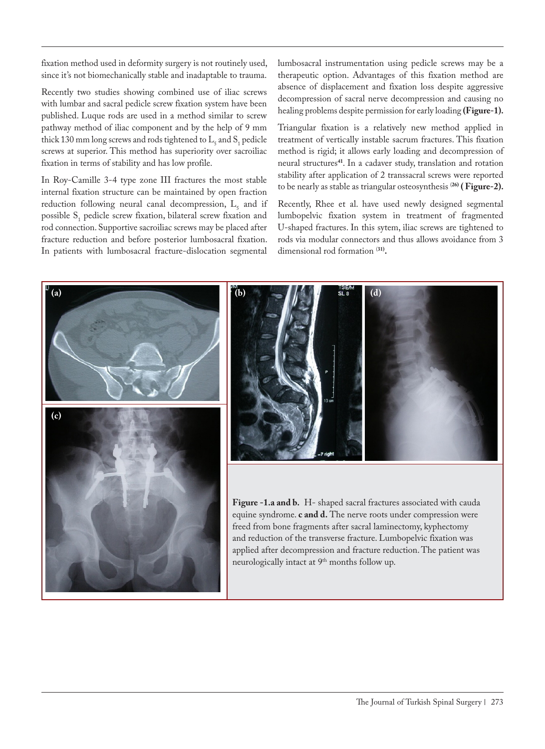fixation method used in deformity surgery is not routinely used, since it's not biomechanically stable and inadaptable to trauma.

Recently two studies showing combined use of iliac screws with lumbar and sacral pedicle screw fixation system have been published. Luque rods are used in a method similar to screw pathway method of iliac component and by the help of 9 mm thick  $130$  mm long screws and rods tightened to  $L_5$  and  $S_1$  pedicle screws at superior. This method has superiority over sacroiliac fixation in terms of stability and has low profile.

In Roy-Camille 3-4 type zone III fractures the most stable internal fixation structure can be maintained by open fraction reduction following neural canal decompression,  $L_5$  and if possible  $S_1$  pedicle screw fixation, bilateral screw fixation and rod connection. Supportive sacroiliac screws may be placed after fracture reduction and before posterior lumbosacral fixation. In patients with lumbosacral fracture-dislocation segmental

lumbosacral instrumentation using pedicle screws may be a therapeutic option. Advantages of this fixation method are absence of displacement and fixation loss despite aggressive decompression of sacral nerve decompression and causing no healing problems despite permission for early loading **(Figure-1).**

Triangular fixation is a relatively new method applied in treatment of vertically instable sacrum fractures. This fixation method is rigid; it allows early loading and decompression of neural structures**<sup>41</sup>**. In a cadaver study, translation and rotation stability after application of 2 transsacral screws were reported to be nearly as stable as triangular osteosynthesis (**26) ( Figure-2).**

Recently, Rhee et al. have used newly designed segmental lumbopelvic fixation system in treatment of fragmented U-shaped fractures. In this sytem, iliac screws are tightened to rods via modular connectors and thus allows avoidance from 3 dimensional rod formation (**31).**

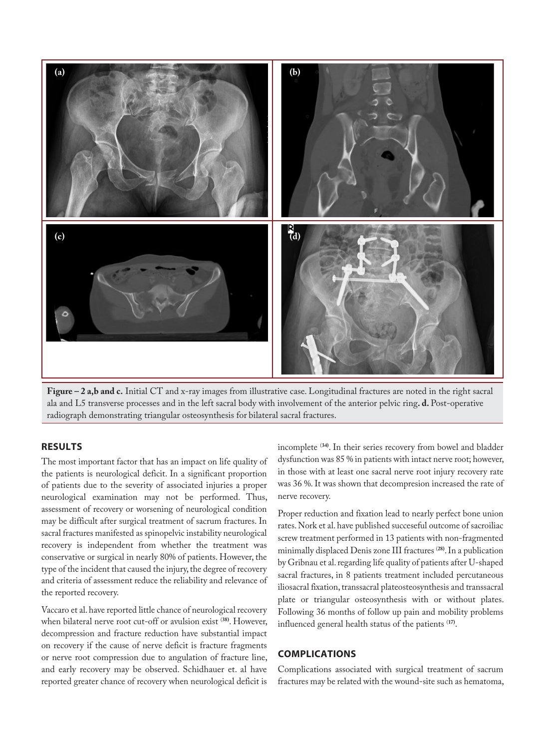

**Figure – 2 a,b and c.** Initial CT and x-ray images from illustrative case. Longitudinal fractures are noted in the right sacral ala and L5 transverse processes and in the left sacral body with involvement of the anterior pelvic ring**. d.** Post-operative radiograph demonstrating triangular osteosynthesis for bilateral sacral fractures.

#### **RESULTS**

The most important factor that has an impact on life quality of the patients is neurological deficit. In a significant proportion of patients due to the severity of associated injuries a proper neurological examination may not be performed. Thus, assessment of recovery or worsening of neurological condition may be difficult after surgical treatment of sacrum fractures. In sacral fractures manifested as spinopelvic instability neurological recovery is independent from whether the treatment was conservative or surgical in nearly 80% of patients. However, the type of the incident that caused the injury, the degree of recovery and criteria of assessment reduce the reliability and relevance of the reported recovery.

Vaccaro et al. have reported little chance of neurological recovery when bilateral nerve root cut-off or avulsion exist (**38)**. However, decompression and fracture reduction have substantial impact on recovery if the cause of nerve deficit is fracture fragments or nerve root compression due to angulation of fracture line, and early recovery may be observed. Schidhauer et. al have reported greater chance of recovery when neurological deficit is

incomplete (**34)**. In their series recovery from bowel and bladder dysfunction was 85 % in patients with intact nerve root; however, in those with at least one sacral nerve root injury recovery rate was 36 %. It was shown that decompresion increased the rate of nerve recovery.

Proper reduction and fixation lead to nearly perfect bone union rates. Nork et al. have published succeseful outcome of sacroiliac screw treatment performed in 13 patients with non-fragmented minimally displaced Denis zone III fractures (**28)**. In a publication by Gribnau et al. regarding life quality of patients after U-shaped sacral fractures, in 8 patients treatment included percutaneous iliosacral fixation, transsacral plateosteosynthesis and transsacral plate or triangular osteosynthesis with or without plates. Following 36 months of follow up pain and mobility problems influenced general health status of the patients (**17)**.

#### **COMPLICATIONS**

Complications associated with surgical treatment of sacrum fractures may be related with the wound-site such as hematoma,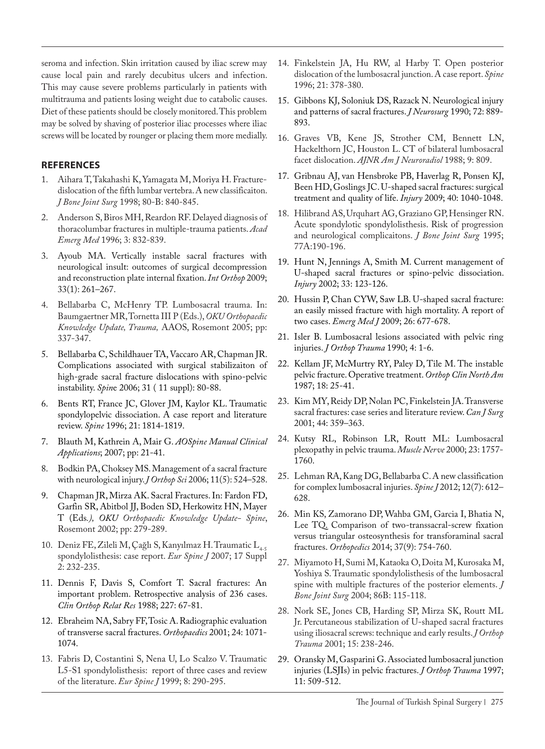seroma and infection. Skin irritation caused by iliac screw may cause local pain and rarely decubitus ulcers and infection. This may cause severe problems particularly in patients with multitrauma and patients losing weight due to catabolic causes. Diet of these patients should be closely monitored. This problem may be solved by shaving of posterior iliac processes where iliac screws will be located by rounger or placing them more medially.

#### **REFERENCES**

- 1. Aihara T, Takahashi K, Yamagata M, Moriya H. Fracturedislocation of the fifth lumbar vertebra. A new classificaiton. *J Bone Joint Surg* 1998; 80-B: 840-845.
- 2. Anderson S, Biros MH, Reardon RF. Delayed diagnosis of thoracolumbar fractures in multiple-trauma patients. *Acad Emerg Med* 1996; 3: 832-839.
- 3. Ayoub MA. Vertically instable sacral fractures with neurological insult: outcomes of surgical decompression and reconstruction plate internal fixation. *Int Orthop* 2009; 33(1): 261–267.
- 4. Bellabarba C, McHenry TP. Lumbosacral trauma. In: Baumgaertner MR, Tornetta III P (Eds.), *OKU Orthopaedic Knowledge Update, Trauma,* AAOS, Rosemont 2005; pp: 337-347.
- 5. Bellabarba C, Schildhauer TA, Vaccaro AR, Chapman JR. Complications associated with surgical stabilizaiton of high-grade sacral fracture dislocations with spino-pelvic instability. *Spin*e 2006; 31 ( 11 suppl): 80-88.
- 6. Bents RT, France JC, Glover JM, Kaylor KL. Traumatic spondylopelvic dissociation. A case report and literature review. *Spine* 1996; 21: 1814-1819.
- 7. Blauth M, Kathrein A, Mair G. *AOSpine Manual Clinical Applications*; 2007; pp: 21-41.
- 8. Bodkin PA, Choksey MS. Management of a sacral fracture with neurological injury. *J Orthop Sci* 2006; 11(5): 524–528.
- 9. Chapman JR, Mirza AK. Sacral Fractures. In: Fardon FD, Garfin SR, Abitbol JJ, Boden SD, Herkowitz HN, Mayer T (Eds*.), OKU Orthopaedic Knowledge Update- Spine*, Rosemont 2002; pp: 279-289.
- 10. Deniz FE, Zileli M, Çağlı S, Kanyılmaz H. Traumatic L<sub>4-5</sub> spondylolisthesis: case report. *Eur Spine J* 2007; 17 Suppl 2: 232-235.
- 11. Dennis F, Davis S, Comfort T. Sacral fractures: An important problem. Retrospective analysis of 236 cases. *Clin Orthop Relat Res* 1988; 227: 67-81.
- 12. Ebraheim NA, Sabry FF, Tosic A. Radiographic evaluation of transverse sacral fractures. *Orthopaedics* 2001; 24: 1071- 1074.
- 13. Fabris D, Costantini S, Nena U, Lo Scalzo V. Traumatic L5-S1 spondylolisthesis: report of three cases and review of the literature. *Eur Spine J* 1999; 8: 290-295.
- 14. Finkelstein JA, Hu RW, al Harby T. Open posterior dislocation of the lumbosacral junction. A case report. *Spine*  1996; 21: 378-380.
- 15. Gibbons KJ, Soloniuk DS, Razack N. Neurological injury and patterns of sacral fractures. *J Neurosurg* 1990; 72: 889- 893.
- 16. Graves VB, Kene JS, Strother CM, Bennett LN, Hackelthorn JC, Houston L. CT of bilateral lumbosacral facet dislocation. *AJNR Am J Neuroradiol* 1988; 9: 809.
- 17. Gribnau AJ, van Hensbroke PB, Haverlag R, Ponsen KJ, Been HD, Goslings JC. U-shaped sacral fractures: surgical treatment and quality of life. *Injury* 2009; 40: 1040-1048.
- 18. Hilibrand AS, Urquhart AG, Graziano GP, Hensinger RN. Acute spondylotic spondylolisthesis. Risk of progression and neurological complicaitons. *J Bone Joint Surg* 1995; 77A:190-196.
- 19. Hunt N, Jennings A, Smith M. Current management of U-shaped sacral fractures or spino-pelvic dissociation. *Injury* 2002; 33: 123-126.
- 20. Hussin P, Chan CYW, Saw LB. U-shaped sacral fracture: an easily missed fracture with high mortality. A report of two cases. *Emerg Med J* 2009; 26: 677-678.
- 21. Isler B. Lumbosacral lesions associated with pelvic ring injuries. *J Orthop Trauma* 1990; 4: 1-6.
- 22. Kellam JF, McMurtry RY, Paley D, Tile M. The instable pelvic fracture. Operative treatment. *Orthop Clin North Am* 1987; 18: 25-41.
- 23. Kim MY, Reidy DP, Nolan PC, Finkelstein JA. Transverse sacral fractures: case series and literature review. *Can J Surg* 2001; 44: 359–363.
- 24. Kutsy RL, Robinson LR, Routt ML: Lumbosacral plexopathy in pelvic trauma. *Muscle Nerve* 2000; 23: 1757- 1760.
- 25. Lehman RA, Kang DG, Bellabarba C. A new classification for complex lumbosacral injuries. *Spine J* 2012; 12(7): 612– 628.
- 26. Min KS, Zamorano DP, Wahba GM, Garcia I, Bhatia N, Lee TQ. Comparison of two-transsacral-screw fixation versus triangular osteosynthesis for transforaminal sacral fractures. *Orthopedics* 2014; 37(9): 754-760.
- 27. Miyamoto H, Sumi M, Kataoka O, Doita M, Kurosaka M, Yoshiya S. Traumatic spondylolisthesis of the lumbosacral spine with multiple fractures of the posterior elements. *J Bone Joint Surg* 2004; 86B: 115-118.
- 28. Nork SE, Jones CB, Harding SP, Mirza SK, Routt ML Jr. Percutaneous stabilization of U-shaped sacral fractures using iliosacral screws: technique and early results. *J Orthop Trauma* 2001; 15: 238-246.
- 29. Oransky M, Gasparini G. Associated lumbosacral junction injuries (LSJIs) in pelvic fractures. *J Orthop Trauma* 1997; 11: 509-512.